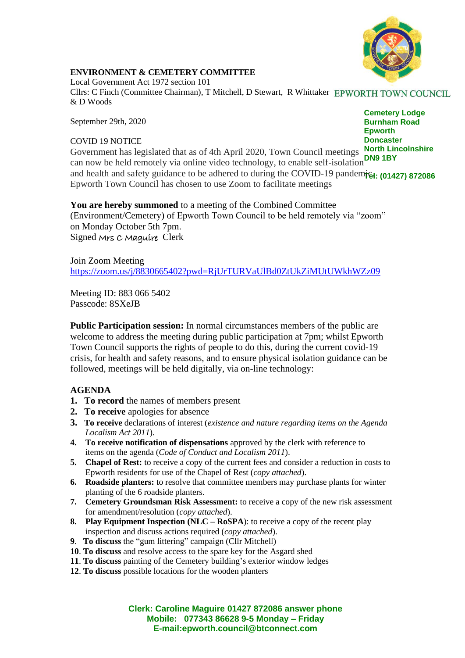

## **ENVIRONMENT & CEMETERY COMMITTEE**

Local Government Act 1972 section 101 Cllrs: C Finch (Committee Chairman), T Mitchell, D Stewart, R Whittaker & D Woods

September 29th, 2020

## COVID 19 NOTICE

**Cemetery Lodge Burnham Road Epworth Doncaster**

Government has legislated that as of 4th April 2020, Town Council meetings **North Lincolnshire DN9 1BY** can now be held remotely via online video technology, to enable self-isolation and health and safety guidance to be adhered to during the COVID-19 pandemic<sub>1:</sub> (01427) 872086 Epworth Town Council has chosen to use Zoom to facilitate meetings

## **You are hereby summoned** to a meeting of the Combined Committee (Environment/Cemetery) of Epworth Town Council to be held remotely via "zoom" on Monday October 5th 7pm. Signed Mrs C Maguire Clerk

Join Zoom Meeting <https://zoom.us/j/8830665402?pwd=RjUrTURVaUlBd0ZtUkZiMUtUWkhWZz09>

Meeting ID: 883 066 5402 Passcode: 8SXeJB

**Public Participation session:** In normal circumstances members of the public are welcome to address the meeting during public participation at 7pm; whilst Epworth Town Council supports the rights of people to do this, during the current covid-19 crisis, for health and safety reasons, and to ensure physical isolation guidance can be followed, meetings will be held digitally, via on-line technology:

## **AGENDA**

- **1. To record** the names of members present
- **2. To receive** apologies for absence
- **3. To receive** declarations of interest (*existence and nature regarding items on the Agenda Localism Act 2011*).
- **4. To receive notification of dispensations** approved by the clerk with reference to items on the agenda (*Code of Conduct and Localism 2011*).
- **5. Chapel of Rest:** to receive a copy of the current fees and consider a reduction in costs to Epworth residents for use of the Chapel of Rest (*copy attached*).
- **6. Roadside planters:** to resolve that committee members may purchase plants for winter planting of the 6 roadside planters.
- **7. Cemetery Groundsman Risk Assessment:** to receive a copy of the new risk assessment for amendment/resolution (*copy attached*).
- **8. Play Equipment Inspection (NLC – RoSPA**): to receive a copy of the recent play inspection and discuss actions required (*copy attached*).
- **9**. **To discuss** the "gum littering" campaign (Cllr Mitchell)
- **10**. **To discuss** and resolve access to the spare key for the Asgard shed
- **11**. **To discuss** painting of the Cemetery building's exterior window ledges
- **12**. **To discuss** possible locations for the wooden planters

**Clerk: Caroline Maguire 01427 872086 answer phone Mobile: 077343 86628 9-5 Monday – Friday E-mail:epworth.council@btconnect.com**